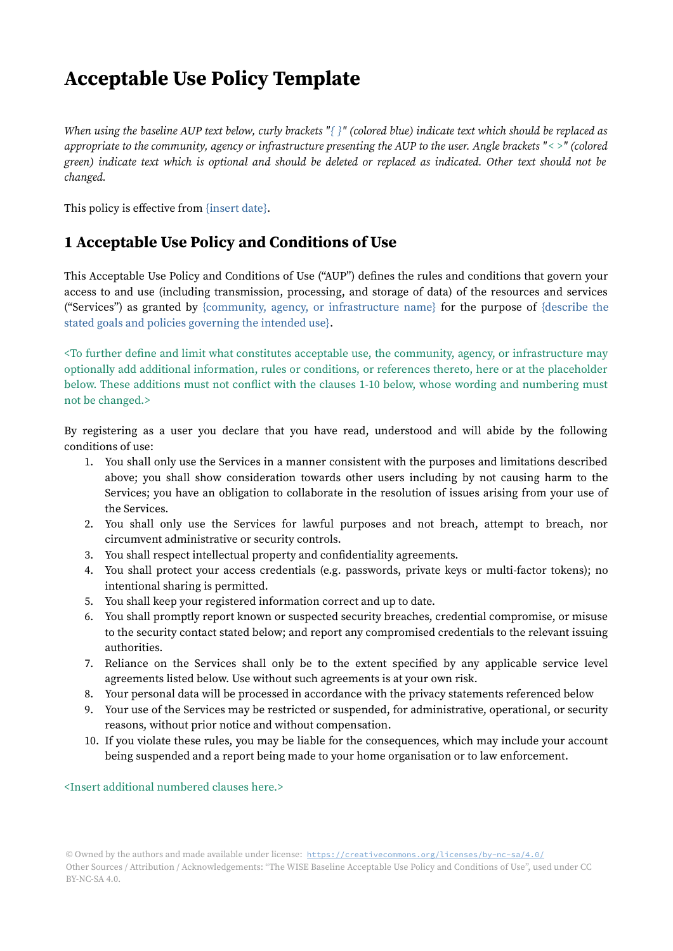## Acceptable Use Policy Template

When using the baseline AUP text below, curly brackets "{ }" (colored blue) indicate text which should be replaced as appropriate to the community, agency or infrastructure presenting the AUP to the user. Angle brackets "< >" (colored green) indicate text which is optional and should be deleted or replaced as indicated. Other text should not be changed.

This policy is effective from {insert date}.

## 1 Acceptable Use Policy and Conditions of Use

This Acceptable Use Policy and Conditions of Use ("AUP") defines the rules and conditions that govern your access to and use (including transmission, processing, and storage of data) of the resources and services ("Services") as granted by {community, agency, or infrastructure name} for the purpose of {describe the stated goals and policies governing the intended use}.

<To further define and limit what constitutes acceptable use, the community, agency, or infrastructure may optionally add additional information, rules or conditions, or references thereto, here or at the placeholder below. These additions must not conflict with the clauses 1-10 below, whose wording and numbering must not be changed.>

By registering as a user you declare that you have read, understood and will abide by the following conditions of use:

- 1. You shall only use the Services in a manner consistent with the purposes and limitations described above; you shall show consideration towards other users including by not causing harm to the Services; you have an obligation to collaborate in the resolution of issues arising from your use of the Services.
- 2. You shall only use the Services for lawful purposes and not breach, attempt to breach, nor circumvent administrative or security controls.
- 3. You shall respect intellectual property and confidentiality agreements.
- 4. You shall protect your access credentials (e.g. passwords, private keys or multi-factor tokens); no intentional sharing is permitted.
- 5. You shall keep your registered information correct and up to date.
- 6. You shall promptly report known or suspected security breaches, credential compromise, or misuse to the security contact stated below; and report any compromised credentials to the relevant issuing authorities.
- 7. Reliance on the Services shall only be to the extent specified by any applicable service level agreements listed below. Use without such agreements is at your own risk.
- 8. Your personal data will be processed in accordance with the privacy statements referenced below
- 9. Your use of the Services may be restricted or suspended, for administrative, operational, or security reasons, without prior notice and without compensation.
- 10. If you violate these rules, you may be liable for the consequences, which may include your account being suspended and a report being made to your home organisation or to law enforcement.

<Insert additional numbered clauses here.>